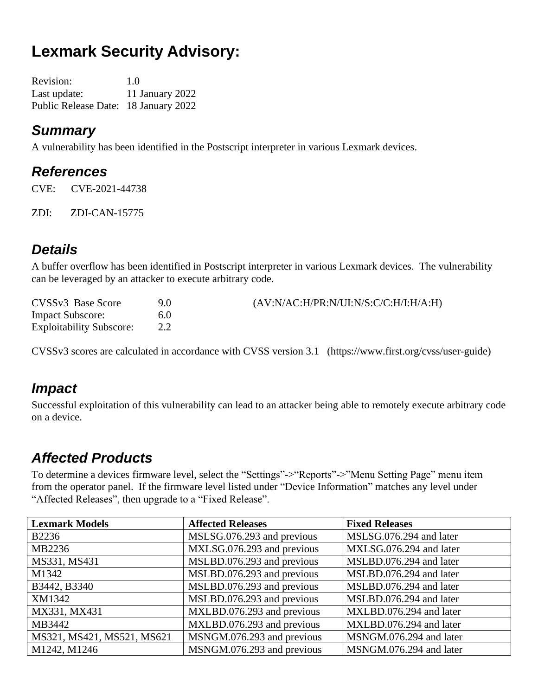# **Lexmark Security Advisory:**

| <b>Revision:</b>                     | 1.0             |
|--------------------------------------|-----------------|
| Last update:                         | 11 January 2022 |
| Public Release Date: 18 January 2022 |                 |

#### *Summary*

A vulnerability has been identified in the Postscript interpreter in various Lexmark devices.

#### *References*

CVE: CVE-2021-44738

ZDI: ZDI-CAN-15775

#### *Details*

A buffer overflow has been identified in Postscript interpreter in various Lexmark devices. The vulnerability can be leveraged by an attacker to execute arbitrary code.

| CVSSv3 Base Score               | 9.0 | (AV:N/AC:H/PR:N/UI:N/S:C/C:H/I:H/A:H) |
|---------------------------------|-----|---------------------------------------|
| <b>Impact Subscore:</b>         | 6.0 |                                       |
| <b>Exploitability Subscore:</b> |     |                                       |

CVSSv3 scores are calculated in accordance with CVSS version 3.1 (https://www.first.org/cvss/user-guide)

#### *Impact*

Successful exploitation of this vulnerability can lead to an attacker being able to remotely execute arbitrary code on a device.

### *Affected Products*

To determine a devices firmware level, select the "Settings"->"Reports"->"Menu Setting Page" menu item from the operator panel. If the firmware level listed under "Device Information" matches any level under "Affected Releases", then upgrade to a "Fixed Release".

| <b>Lexmark Models</b>      | <b>Affected Releases</b>   | <b>Fixed Releases</b>   |
|----------------------------|----------------------------|-------------------------|
| <b>B2236</b>               | MSLSG.076.293 and previous | MSLSG.076.294 and later |
| MB2236                     | MXLSG.076.293 and previous | MXLSG.076.294 and later |
| MS331, MS431               | MSLBD.076.293 and previous | MSLBD.076.294 and later |
| M1342                      | MSLBD.076.293 and previous | MSLBD.076.294 and later |
| B3442, B3340               | MSLBD.076.293 and previous | MSLBD.076.294 and later |
| XM1342                     | MSLBD.076.293 and previous | MSLBD.076.294 and later |
| MX331, MX431               | MXLBD.076.293 and previous | MXLBD.076.294 and later |
| MB3442                     | MXLBD.076.293 and previous | MXLBD.076.294 and later |
| MS321, MS421, MS521, MS621 | MSNGM.076.293 and previous | MSNGM.076.294 and later |
| M1242, M1246               | MSNGM.076.293 and previous | MSNGM.076.294 and later |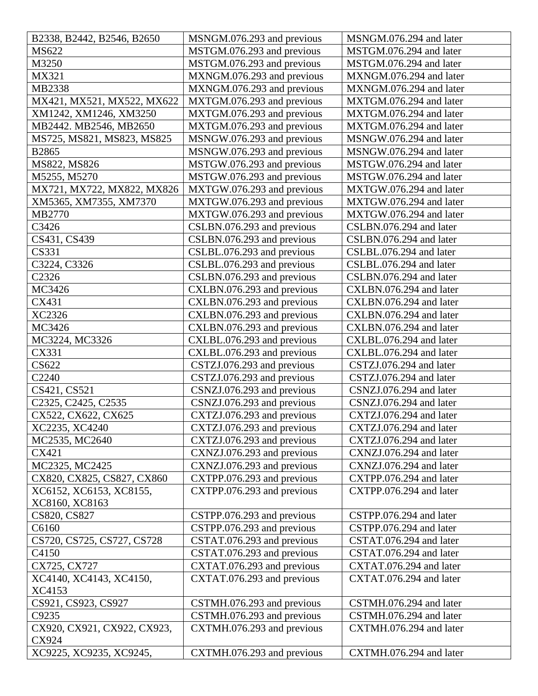| B2338, B2442, B2546, B2650                                | MSNGM.076.293 and previous | MSNGM.076.294 and later |
|-----------------------------------------------------------|----------------------------|-------------------------|
| MS622                                                     | MSTGM.076.293 and previous | MSTGM.076.294 and later |
| M3250                                                     | MSTGM.076.293 and previous | MSTGM.076.294 and later |
| MX321                                                     | MXNGM.076.293 and previous | MXNGM.076.294 and later |
| MB2338                                                    | MXNGM.076.293 and previous | MXNGM.076.294 and later |
| MX421, MX521, MX522, MX622                                | MXTGM.076.293 and previous | MXTGM.076.294 and later |
| XM1242, XM1246, XM3250                                    | MXTGM.076.293 and previous | MXTGM.076.294 and later |
| MB2442. MB2546, MB2650                                    | MXTGM.076.293 and previous | MXTGM.076.294 and later |
| MS725, MS821, MS823, MS825                                | MSNGW.076.293 and previous | MSNGW.076.294 and later |
| B2865                                                     | MSNGW.076.293 and previous | MSNGW.076.294 and later |
| MS822, MS826                                              | MSTGW.076.293 and previous | MSTGW.076.294 and later |
| M5255, M5270                                              | MSTGW.076.293 and previous | MSTGW.076.294 and later |
| MX721, MX722, MX822, MX826                                | MXTGW.076.293 and previous | MXTGW.076.294 and later |
| XM5365, XM7355, XM7370                                    | MXTGW.076.293 and previous | MXTGW.076.294 and later |
| MB2770                                                    | MXTGW.076.293 and previous | MXTGW.076.294 and later |
| C3426                                                     | CSLBN.076.293 and previous | CSLBN.076.294 and later |
| CS431, CS439                                              | CSLBN.076.293 and previous | CSLBN.076.294 and later |
| CS331                                                     | CSLBL.076.293 and previous | CSLBL.076.294 and later |
| C3224, C3326                                              | CSLBL.076.293 and previous | CSLBL.076.294 and later |
| C <sub>2326</sub>                                         | CSLBN.076.293 and previous | CSLBN.076.294 and later |
| MC3426                                                    | CXLBN.076.293 and previous | CXLBN.076.294 and later |
| CX431                                                     | CXLBN.076.293 and previous | CXLBN.076.294 and later |
| XC2326                                                    | CXLBN.076.293 and previous | CXLBN.076.294 and later |
| MC3426                                                    | CXLBN.076.293 and previous | CXLBN.076.294 and later |
| MC3224, MC3326                                            | CXLBL.076.293 and previous | CXLBL.076.294 and later |
| CX331                                                     | CXLBL.076.293 and previous | CXLBL.076.294 and later |
| CS622                                                     | CSTZJ.076.293 and previous | CSTZJ.076.294 and later |
| C2240                                                     | CSTZJ.076.293 and previous | CSTZJ.076.294 and later |
| CS421, CS521                                              | CSNZJ.076.293 and previous | CSNZJ.076.294 and later |
| C <sub>2325</sub> , C <sub>2425</sub> , C <sub>2535</sub> | CSNZJ.076.293 and previous | CSNZJ.076.294 and later |
| CX522, CX622, CX625                                       | CXTZJ.076.293 and previous | CXTZJ.076.294 and later |
| XC2235, XC4240                                            | CXTZJ.076.293 and previous | CXTZJ.076.294 and later |
| MC2535, MC2640                                            | CXTZJ.076.293 and previous | CXTZJ.076.294 and later |
| CX421                                                     | CXNZJ.076.293 and previous | CXNZJ.076.294 and later |
| MC2325, MC2425                                            | CXNZJ.076.293 and previous | CXNZJ.076.294 and later |
| CX820, CX825, CS827, CX860                                | CXTPP.076.293 and previous | CXTPP.076.294 and later |
| XC6152, XC6153, XC8155,                                   | CXTPP.076.293 and previous | CXTPP.076.294 and later |
| XC8160, XC8163                                            |                            |                         |
| CS820, CS827                                              | CSTPP.076.293 and previous | CSTPP.076.294 and later |
| C6160                                                     | CSTPP.076.293 and previous | CSTPP.076.294 and later |
| CS720, CS725, CS727, CS728                                | CSTAT.076.293 and previous | CSTAT.076.294 and later |
| C4150                                                     | CSTAT.076.293 and previous | CSTAT.076.294 and later |
| CX725, CX727                                              | CXTAT.076.293 and previous | CXTAT.076.294 and later |
| XC4140, XC4143, XC4150,                                   | CXTAT.076.293 and previous | CXTAT.076.294 and later |
| XC4153                                                    |                            |                         |
| CS921, CS923, CS927                                       | CSTMH.076.293 and previous | CSTMH.076.294 and later |
| C9235                                                     | CSTMH.076.293 and previous | CSTMH.076.294 and later |
| CX920, CX921, CX922, CX923,                               | CXTMH.076.293 and previous | CXTMH.076.294 and later |
| CX924                                                     |                            |                         |
| XC9225, XC9235, XC9245,                                   | CXTMH.076.293 and previous | CXTMH.076.294 and later |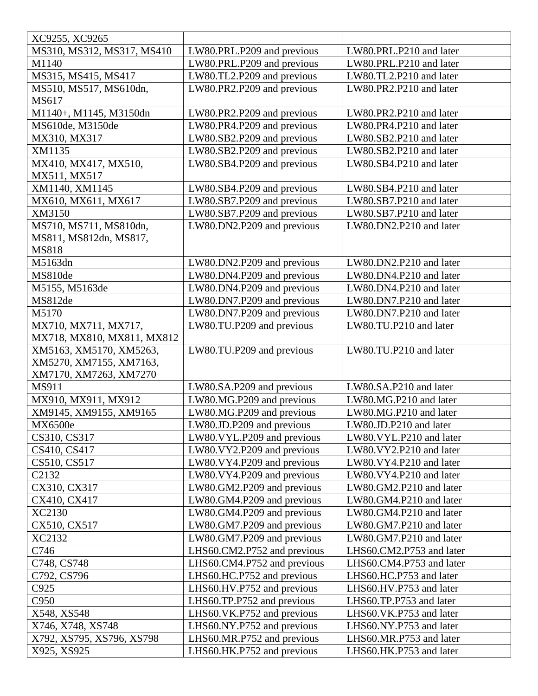| XC9255, XC9265                 |                             |                          |
|--------------------------------|-----------------------------|--------------------------|
| MS310, MS312, MS317, MS410     | LW80.PRL.P209 and previous  | LW80.PRL.P210 and later  |
| M1140                          | LW80.PRL.P209 and previous  | LW80.PRL.P210 and later  |
| MS315, MS415, MS417            | LW80.TL2.P209 and previous  | LW80.TL2.P210 and later  |
| MS510, MS517, MS610dn,         | LW80.PR2.P209 and previous  | LW80.PR2.P210 and later  |
| <b>MS617</b>                   |                             |                          |
| M1140+, M1145, M3150dn         | LW80.PR2.P209 and previous  | LW80.PR2.P210 and later  |
| MS610de, M3150de               | LW80.PR4.P209 and previous  | LW80.PR4.P210 and later  |
| MX310, MX317                   | LW80.SB2.P209 and previous  | LW80.SB2.P210 and later  |
| XM1135                         | LW80.SB2.P209 and previous  | LW80.SB2.P210 and later  |
| MX410, MX417, MX510,           | LW80.SB4.P209 and previous  | LW80.SB4.P210 and later  |
| MX511, MX517                   |                             |                          |
| XM1140, XM1145                 | LW80.SB4.P209 and previous  | LW80.SB4.P210 and later  |
| MX610, MX611, MX617            | LW80.SB7.P209 and previous  | LW80.SB7.P210 and later  |
| XM3150                         | LW80.SB7.P209 and previous  | LW80.SB7.P210 and later  |
| MS710, MS711, MS810dn,         | LW80.DN2.P209 and previous  | LW80.DN2.P210 and later  |
| MS811, MS812dn, MS817,         |                             |                          |
| <b>MS818</b>                   |                             |                          |
| M5163dn                        | LW80.DN2.P209 and previous  | LW80.DN2.P210 and later  |
| MS810de                        | LW80.DN4.P209 and previous  | LW80.DN4.P210 and later  |
| M5155, M5163de                 | LW80.DN4.P209 and previous  | LW80.DN4.P210 and later  |
| MS812de                        | LW80.DN7.P209 and previous  | LW80.DN7.P210 and later  |
| M5170                          | LW80.DN7.P209 and previous  | LW80.DN7.P210 and later  |
| MX710, MX711, MX717,           | LW80.TU.P209 and previous   | LW80.TU.P210 and later   |
| MX718, MX810, MX811, MX812     |                             |                          |
| XM5163, XM5170, XM5263,        | LW80.TU.P209 and previous   | LW80.TU.P210 and later   |
| XM5270, XM7155, XM7163,        |                             |                          |
| XM7170, XM7263, XM7270         |                             |                          |
| MS911                          | LW80.SA.P209 and previous   | LW80.SA.P210 and later   |
| MX910, MX911, MX912            | LW80.MG.P209 and previous   | LW80.MG.P210 and later   |
| XM9145, XM9155, XM9165         | LW80.MG.P209 and previous   |                          |
| MX6500e                        |                             | LW80.MG.P210 and later   |
|                                | LW80.JD.P209 and previous   | LW80.JD.P210 and later   |
| CS310, CS317                   | LW80.VYL.P209 and previous  | LW80.VYL.P210 and later  |
| CS410, CS417                   | LW80.VY2.P209 and previous  | LW80.VY2.P210 and later  |
| CS510, CS517                   | LW80.VY4.P209 and previous  | LW80.VY4.P210 and later  |
| C <sub>2</sub> 13 <sub>2</sub> | LW80.VY4.P209 and previous  | LW80.VY4.P210 and later  |
| CX310, CX317                   | LW80.GM2.P209 and previous  | LW80.GM2.P210 and later  |
| CX410, CX417                   | LW80.GM4.P209 and previous  | LW80.GM4.P210 and later  |
| XC2130                         | LW80.GM4.P209 and previous  | LW80.GM4.P210 and later  |
| CX510, CX517                   | LW80.GM7.P209 and previous  | LW80.GM7.P210 and later  |
| XC2132                         | LW80.GM7.P209 and previous  | LW80.GM7.P210 and later  |
| C746                           | LHS60.CM2.P752 and previous | LHS60.CM2.P753 and later |
| C748, CS748                    | LHS60.CM4.P752 and previous | LHS60.CM4.P753 and later |
| C792, CS796                    | LHS60.HC.P752 and previous  | LHS60.HC.P753 and later  |
| C925                           | LHS60.HV.P752 and previous  | LHS60.HV.P753 and later  |
| C950                           | LHS60.TP.P752 and previous  | LHS60.TP.P753 and later  |
| X548, XS548                    | LHS60.VK.P752 and previous  | LHS60.VK.P753 and later  |
| X746, X748, XS748              | LHS60.NY.P752 and previous  | LHS60.NY.P753 and later  |
| X792, XS795, XS796, XS798      | LHS60.MR.P752 and previous  | LHS60.MR.P753 and later  |